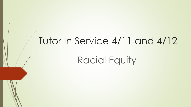## Tutor In Service 4/11 and 4/12

Racial Equity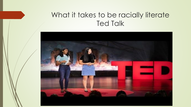### What it takes to be racially literate Ted Talk

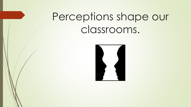# Perceptions shape our classrooms.

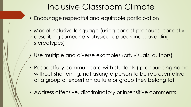### Inclusive Classroom Climate

- Encourage respectful and equitable participation
- Model inclusive language (using correct pronouns, correctly describing someone's physical appearance, avoiding stereotypes)
- Use multiple and diverse examples (art, visuals, authors)
- Respectfully communicate with students (pronouncing name without shortening, not asking a person to be representative of a group or expert on culture or group they belong to)
- Address offensive, discriminatory or insensitive comments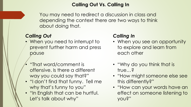#### **Calling Out Vs. Calling In**

You may need to redirect a discussion in class and depending the context there are two ways to think about doing that.

### *Calling Out*

- When you need to interrupt to prevent further harm and press pause
- "That word/comment is offensive. Is there a different way you could say that?"
- "I don't find that funny. Tell me why that's funny to you"
- "In English that can be hurtful. Let's talk about why"

#### *Calling In*

- When you see an opportunity to explore and learn from each other
- "Why do you think that is true…?
- "How might someone else see this differently?"
- "How can your words have an effect on someone listening to you?"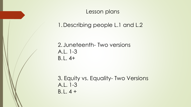Lesson plans

1.Describing people L.1 and L.2

2. Juneteenth- Two versions A.L. 1-3 B.L. 4+

3. Equity vs. Equality- Two Versions A.L. 1-3 B.L. 4 +